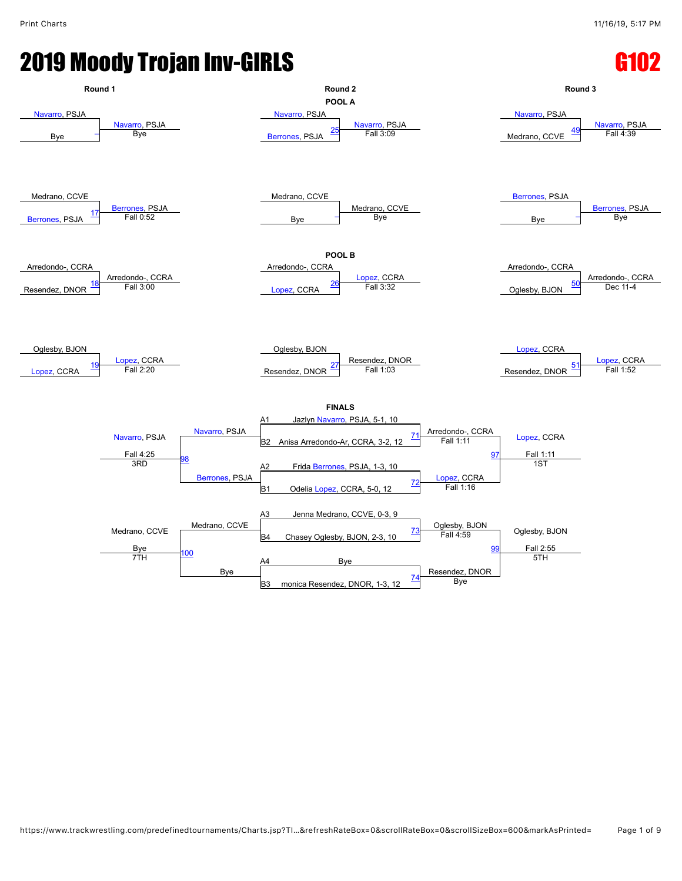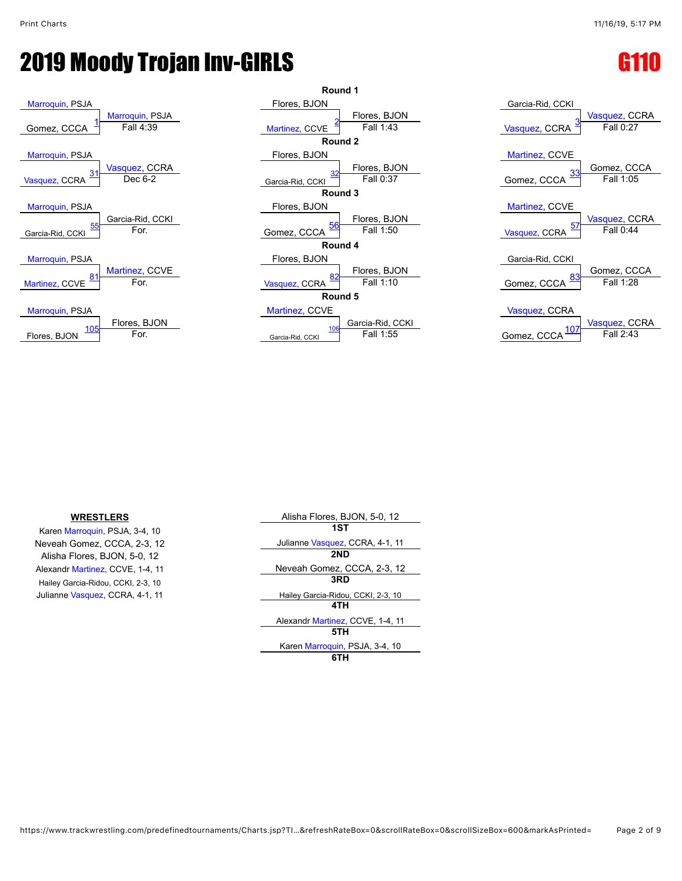



| Garcia-Rid, CCKI                            |
|---------------------------------------------|
| Vasquez, CCRA<br>Vasquez, CCRA<br>Fall 0:27 |
| Martinez, CCVE<br>Gomez, CCCA               |
| <u>33</u><br>Fall 1:05<br>Gomez, CCCA       |
| Martinez, CCVE<br>Vasquez, CCRA             |
| <u>57</u><br>Fall 0:44<br>Vasquez, CCRA     |
| Garcia-Rid, CCKI<br>Gomez, CCCA             |
| <u>83</u><br>Gomez, CCCA<br>Fall 1:28       |
| Vasquez, CCRA                               |
| Vasquez, CCRA<br>Fall 2:43<br>CCCA<br>Gomez |

#### **WRESTLERS**

Karen [Marroquin](javascript:viewProfile(1060068132)), PSJA, 3-4, 10 Neveah Gomez, CCCA, 2-3, 12 Alisha Flores, BJON, 5-0, 12 Alexandr [Martinez](javascript:viewProfile(654859096)), CCVE, 1-4, 11 Hailey Garcia-Ridou, CCKI, 2-3, 10 Julianne [Vasquez,](javascript:viewProfile(69736132)) CCRA, 4-1, 11

| Alisha Flores, BJON, 5-0, 12       |  |
|------------------------------------|--|
| 1ST                                |  |
| Julianne Vasquez, CCRA, 4-1, 11    |  |
| 2ND                                |  |
| Neveah Gomez, CCCA, 2-3, 12        |  |
| 3RD                                |  |
| Hailey Garcia-Ridou, CCKI, 2-3, 10 |  |
| 4TH                                |  |
| Alexandr Martinez, CCVE, 1-4, 11   |  |
| 5TH                                |  |
| Karen Marroquin, PSJA, 3-4, 10     |  |
|                                    |  |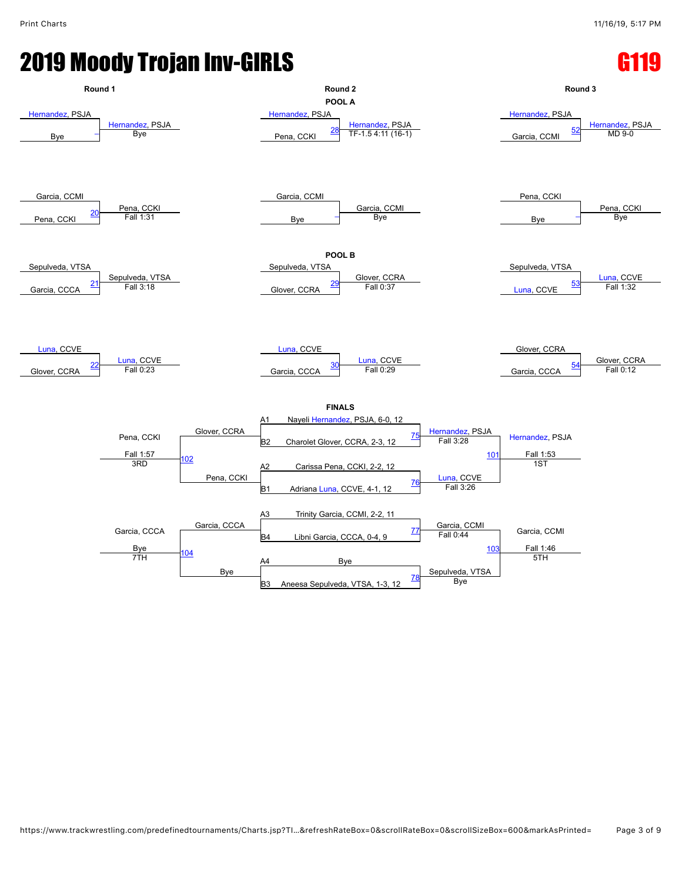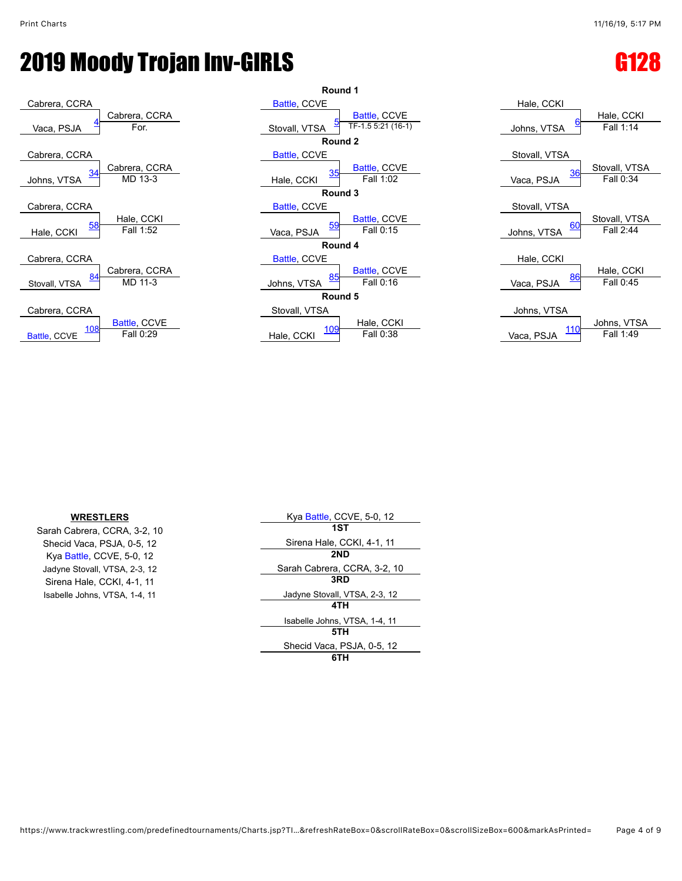



| Hale, CCKI              |                            |
|-------------------------|----------------------------|
| <u>6</u><br>Johns, VTSA | Hale, CCKI<br>Fall 1:14    |
| Stovall, VTSA           |                            |
| <u>36</u><br>Vaca, PSJA | Stovall, VTSA<br>Fall 0:34 |
| Stovall, VTSA           |                            |
|                         | Stovall, VTSA              |
| 60<br>Johns, VTSA       | Fall 2:44                  |
| Hale, CCKI              |                            |
| 86<br>Vaca, PSJA        | Hale, CCKI<br>Fall 0:45    |
| Johns, VTSA             |                            |
|                         | Johns, VTSA                |
| $\frac{1}{2}$           | Fall 1:40                  |

#### **WRESTLERS**

Sarah Cabrera, CCRA, 3-2, 10 Shecid Vaca, PSJA, 0-5, 12 Kya [Battle,](javascript:viewProfile(1790112096)) CCVE, 5-0, 12 Jadyne Stovall, VTSA, 2-3, 12 Sirena Hale, CCKI, 4-1, 11 Isabelle Johns, VTSA, 1-4, 11

| Kya Battle, CCVE, 5-0, 12     |
|-------------------------------|
| 1ST                           |
| Sirena Hale, CCKI, 4-1, 11    |
| 2ND                           |
| Sarah Cabrera, CCRA, 3-2, 10  |
| 3RD                           |
| Jadyne Stovall, VTSA, 2-3, 12 |
| 4TH                           |
| Isabelle Johns, VTSA, 1-4, 11 |
| 5TH                           |
| Shecid Vaca, PSJA, 0-5, 12    |
|                               |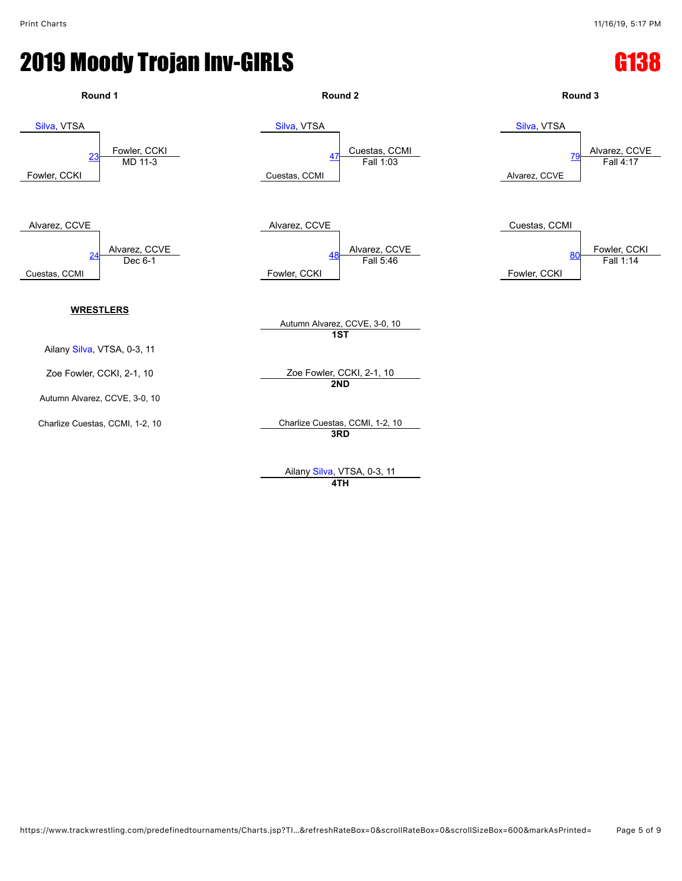#### **2019 Moody Trojan Inv-GIRLS Contract Contract Contract Contract Contract Contract Contract Contract Contract Co**



Ailany [Silva](javascript:viewProfile(1007354132)), VTSA, 0-3, 11 **4TH**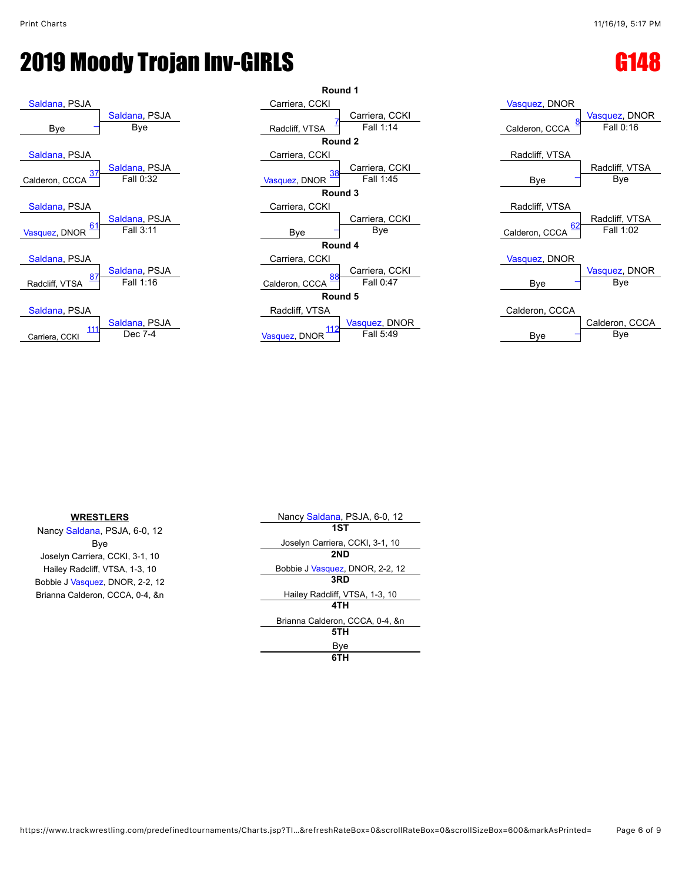# **2019 Moody Trojan Inv-GIRLS CONTROLLERY CONTROLLERY CONTROLLERY CONTROLLERY CONTROLLERY CONTROLLERY**







| <b>WRESTLERS</b>                | Nancy Saldana, PSJA, 6-0, 12    |
|---------------------------------|---------------------------------|
| Nancy Saldana, PSJA, 6-0, 12    | 1ST                             |
| Bye                             | Joselyn Carriera, CCKI, 3-1, 10 |
| Joselyn Carriera, CCKI, 3-1, 10 | 2ND                             |
| Hailey Radcliff, VTSA, 1-3, 10  | Bobbie J Vasquez, DNOR, 2-2, 12 |
| Bobbie J Vasquez, DNOR, 2-2, 12 | 3RD                             |
| Brianna Calderon, CCCA, 0-4, &n | Hailey Radcliff, VTSA, 1-3, 10  |
|                                 | 4TH                             |
|                                 | Brianna Calderon, CCCA, 0-4, &n |
|                                 | 5TH                             |
|                                 | Bye                             |
|                                 | 6TH                             |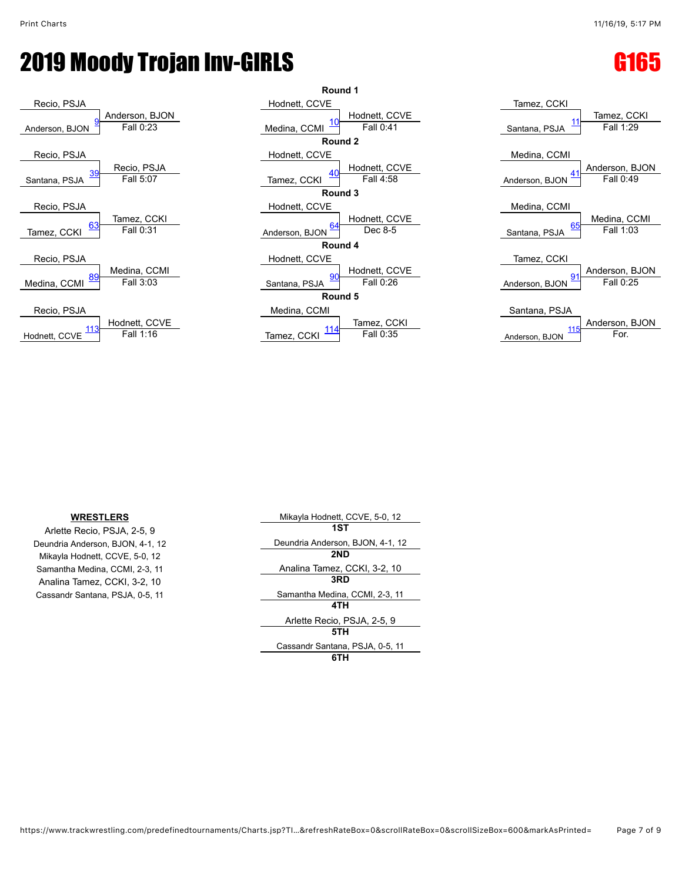## **2019 Moody Trojan Inv-GIRLS Contract of the Gaussian Contract of Gaussian Contract Contract Contract Contract C**







#### **WRESTLERS**

Arlette Recio, PSJA, 2-5, 9 Deundria Anderson, BJON, 4-1, 12 Mikayla Hodnett, CCVE, 5-0, 12 Samantha Medina, CCMI, 2-3, 11 Analina Tamez, CCKI, 3-2, 10 Cassandr Santana, PSJA, 0-5, 11

| Mikayla Hodnett, CCVE, 5-0, 12   |  |
|----------------------------------|--|
| 1ST                              |  |
| Deundria Anderson, BJON, 4-1, 12 |  |
| 2ND                              |  |
| Analina Tamez, CCKI, 3-2, 10     |  |
| 3RD                              |  |
| Samantha Medina, CCMI, 2-3, 11   |  |
| 4TH                              |  |
| Arlette Recio, PSJA, 2-5, 9      |  |
| 5TH                              |  |
| Cassandr Santana, PSJA, 0-5, 11  |  |
|                                  |  |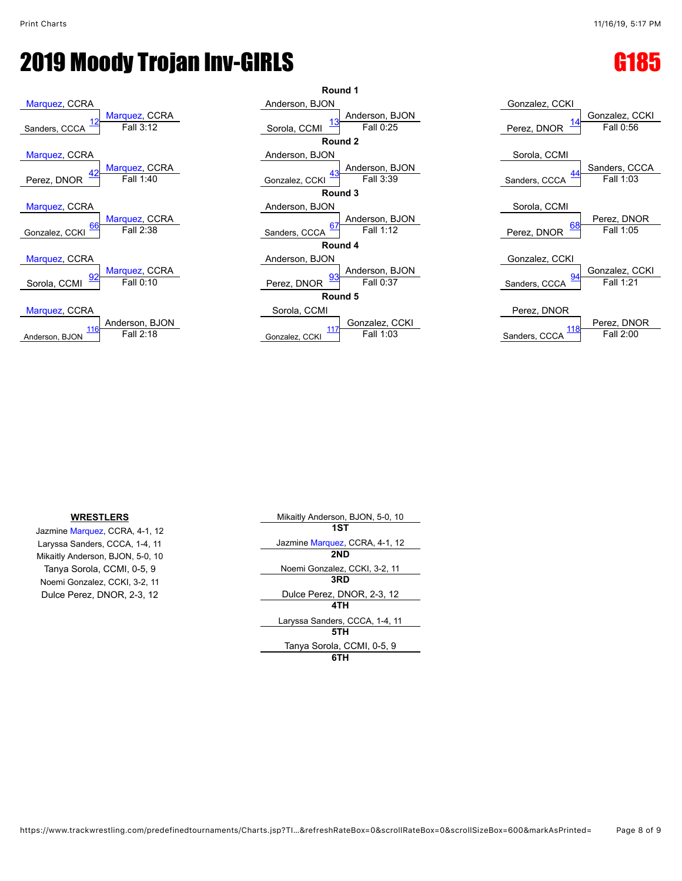## **2019 Moody Trojan Inv-GIRLS Contract of the Guide Contract of G185**







Jazmine [Marquez,](javascript:viewProfile(914092132)) CCRA, 4-1, 12 **1ST** Mikaitly Anderson, BJON, 5-0, 10 **2ND** Noemi Gonzalez, CCKI, 3-2, 11

**WRESTLERS** Mikaitly Anderson, BJON, 5-0, 10 Laryssa Sanders, CCCA, 1-4, 11 Jazmine [Marquez,](javascript:viewProfile(914092132)) CCRA, 4-1, 12 Tanya Sorola, CCMI, 0-5, 9<br>
Noemi Gonzalez, CCKI, 3-2, 11<br> **Noemi Gonzalez, CCKI, 3-2, 11** Dulce Perez, DNOR, 2-3, 12 Dulce Perez, DNOR, 2-3, 12 **4TH** Laryssa Sanders, CCCA, 1-4, 11 **5TH** Tanya Sorola, CCMI, 0-5, 9 **6TH**